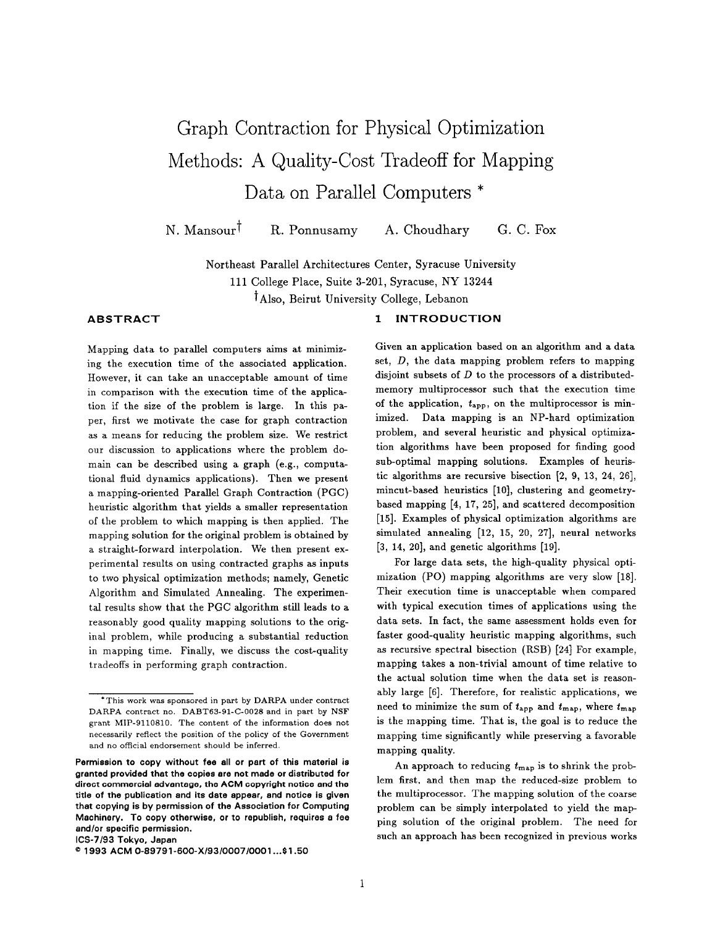# Graph Contraction for Physical Optimization Methods: A Quality-Cost Tradeoff for Mapping Data on Parallel Computers \*

N. Mansour<sup>†</sup> R. Ponnusamy A. Choudhary G. C. Fox

Northeast Parallel Architectures Center, Syracuse University 111 College Place, Suite 3-201, Syracuse, NY 13244 tAIso, Beirut University College, Lebanon

# ABSTRACT

1 INTRODUCTION

Mapping data to parallel computers aims at minimizing the execution time of the associated application. However, it can take an unacceptable amount of time in comparison with the execution time of the application if the size of the problem is large. In this paper, first we motivate the case for graph contraction as a means for reducing the problem size. We restrict our discussion to applications where the problem domain can be described using a graph (e.g., computational fluid dynamics applications). Then we present a mapping-oriented Parallel Graph Contraction (PGC) heuristic algorithm that yields a smaller representation of the problem to which mapping is then applied. The mapping solution for the original problem is obtained by a straight-forward interpolation. We then present experimental results on using contracted graphs as inputs to two physical optimization methods; namely, Genetic Algorithm and Simulated Annealing. The experimental results show that the PGC algorithm still leads to a reasonably good quality mapping solutions to the original problem, while producing a substantial reduction in mapping time. Finally, we discuss the cost-quality tradeoffs in performing graph contraction.

ICS-7193 Tokyo, Japan

Given an application based on an algorithm and a data set,  $D$ , the data mapping problem refers to mapping disjoint subsets of  $D$  to the processors of a distributedmemory multiprocessor such that the execution time of the application,  $t_{\text{app}}$ , on the multiprocessor is minimized. Data mapping is an NP-hard optimization problem, and several heuristic and physical optimization algorithms have been proposed for finding good sub-optimal mapping solutions. Examples of heuristic algorithms are recursive bisection [2, 9, 13, 24, 26], mincut-based heuristics [10], clustering and geometrybased mapping [4, 17, 25], and scattered decomposition [15]. Examples of physical optimization algorithms are simulated annealing [12, 15, 20, 27], neural networks [3, 14, 20], and genetic algorithms [19].

For large data sets, the high-quality physical optimization (PO) mapping algorithms are very slow [18]. Their execution time is unacceptable when compared with typical execution times of applications using the data sets. In fact, the same assessment holds even for faster good-quality heuristic mapping algorithms, such as recursive spectral bisection (RSB) [24] For example, mapping takes a non-trivial amount of time relative to the actual solution time when the data set is reasonably large [6]. Therefore, for realistic applications, we need to minimize the sum of  $t_{\text{app}}$  and  $t_{\text{map}}$ , where  $t_{\text{map}}$ is the mapping time. That is, the goal is to reduce the mapping time significantly while preserving a favorable mapping quality.

An approach to reducing  $t_{\text{map}}$  is to shrink the problem first, and then map the reduced-size problem to the multiprocessor. The mapping solution of the coarse problem can be simply interpolated to yield the mapping solution of the original problem. The need for such an approach has been recognized in previous works

<sup>&</sup>quot; This work was sponsored in part by DARPA under contract DARPA contract no. DABT63-91-C-O028 and in part by NSF grant MIP-911 0810. The content of the information does not necessarily reflect the position of the policy of the Government and no official endorsement should be inferred.

Permission to oopy without fee all or part of this material is granted providad that the copiee are not made or distributed for direct commercial advantage, the ACM copyright notice and the title of the publication and its date appear, and notice is given that copying is by permission of the Association for Computing Machinery. To oopy otherwise, or to republish, requires a fee and/or specific permission.

a 1993 ACM O-89791-600-X1931000710001 . ..\$1.50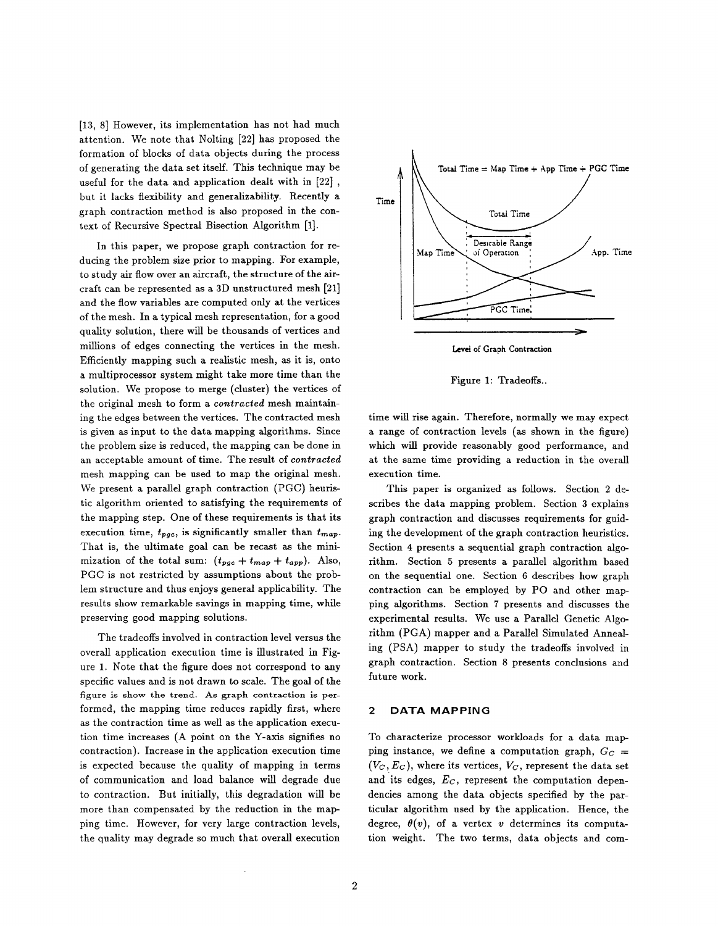[13, 8] However, its implementation has not had much attention. We note that Nolting [22] has proposed the formation of blocks of data objects during the process of generating the data set itself. This technique may be useful for the data and application dealt with in [22] , but it lacks flexibility and generalizability. Recently a graph contraction method is also proposed in the context of Recursive Spectral Bisection Algorithm [1].

In this paper, we propose graph contraction for reducing the problem size prior to mapping. For example, to study air flow over an aircraft, the structure of the aircraft can be represented as a 3D unstructured mesh [21] and the flow variables are computed only at the vertices of the mesh. In a typical mesh representation, for a good quality solution, there will be thousands of vertices and millions of edges connecting the vertices in the mesh. Efficiently mapping such a realistic mesh, as it is, onto a multiprocessor system might take more time than the solution. We propose to merge (cluster) the vertices of the original mesh to form a contracted mesh maintaining the edges between the vertices. The contracted mesh is given as input to the data mapping algorithms. Since the problem size is reduced, the mapping can be done in an acceptable amount of time. The result of contracted mesh mapping can be used to map the original mesh. We present a parallel graph contraction (PGC) heuristic algorithm oriented to satisfying the requirements of the mapping step. One of these requirements is that its execution time,  $t_{pgc}$ , is significantly smaller than  $t_{map}$ . That is, the ultimate goal can be recast as the minimization of the total sum:  $(t_{pgc} + t_{map} + t_{app})$ . Also, PGC is not restricted by assumptions about the problem structure and thus enjoys general applicability. The results show remarkable savings in mapping time, while preserving good mapping solutions.

The tradeoffs involved in contraction level versus the overall application execution time is illustrated in Figure 1. Note that the figure does not correspond to any specific values and is not drawn to scale. The goal of the figure is show the trend. As graph contraction is performed, the mapping time reduces rapidly first, where as the contraction time as well as the application execution time increases (A point on the Y-axis signifies no contraction). Increase in the application execution time is expected because the quality of mapping in terms of communication and load balance will degrade due to contraction. But initially, this degradation will be more than compensated by the reduction in the mapping time. However, for very large contraction levels, the quality may degrade so much that overall execution



Figure 1: Tradeoffs..

time will rise again. Therefore, normally we may expect a range of contraction levels (as shown in the figure) which will provide reasonably good performance, and at the same time providing a reduction in the overall execution time.

This paper is organized as follows. Section 2 describes the data mapping problem. Section 3 explains graph contraction and discusses requirements for guiding the development of the graph contraction heuristics. Section 4 presents a sequential graph contraction algorithm. Section 5 presents a parallel algorithm based on the sequential one. Section 6 describes how graph contraction can be employed by PO and other mapping algorithms. Section 7 presents and discusses the experimental results. We use a Parallel Genetic Algorithm (PGA) mapper and a Parallel Simulated Annealing (PSA) mapper to study the tradeoffs involved in graph contraction. Section 8 presents conclusions and future work.

#### 2 DATA MAPPING

To characterize processor workloads for a data mapping instance, we define a computation graph,  $G_C =$  $(V_C, E_C)$ , where its vertices,  $V_C$ , represent the data set and its edges,  $E_C$ , represent the computation dependencies among the data objects specified by the particular algorithm used by the application. Hence, the degree,  $\theta(v)$ , of a vertex v determines its computation weight. The two terms, data objects and com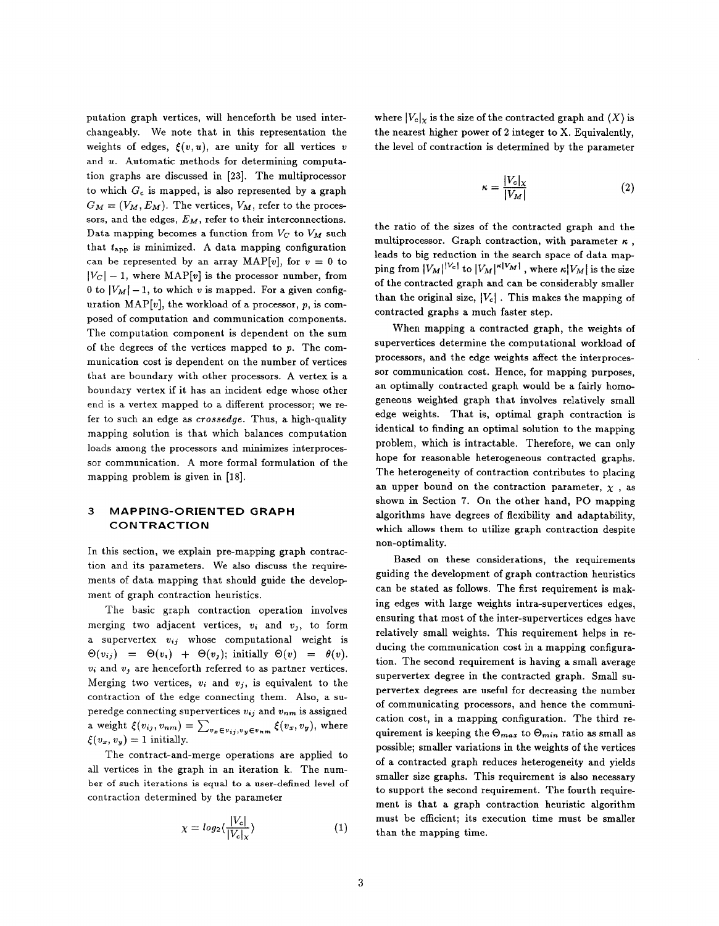putation graph vertices, will henceforth be used interchangeably. We note that in this representation the weights of edges,  $\xi(v, u)$ , are unity for all vertices v and  $u$ . Automatic methods for determining computation graphs are discussed in [23]. The multiprocessor to which  $G_c$  is mapped, is also represented by a graph  $G_M = (V_M, E_M)$ . The vertices,  $V_M$ , refer to the processors, and the edges,  $E_M$ , refer to their interconnections. Data mapping becomes a function from  $V_C$  to  $V_M$  such that  $t_{app}$  is minimized. A data mapping configuration can be represented by an array MAP[v], for  $v = 0$  to  $|V_C| - 1$ , where MAP[v] is the processor number, from 0 to  $|V_M| - 1$ , to which v is mapped. For a given configuration MAP[v], the workload of a processor,  $p$ , is composed of computation and communication components. The computation component is dependent on the sum of the degrees of the vertices mapped to  $p$ . The communication cost is dependent on the number of vertices that are boundary with other processors. A vertex is a boundary vertex if it has an incident edge whose other end is a vertex mapped to a different processor; we refer to such an edge as crossedge. Thus, a high-quality mapping solution is that which balances computation loads among the processors and minimizes interprocessor communication. A more formal formulation of the mapping problem is given in [18].

#### 3 MAPPING-ORIENTED GRAPH CONTRACTION

In this section, we explain pre-mapping graph contraction and its parameters. We also discuss the requirements of data mapping that should guide the develop ment of graph contraction heuristics.

The basic graph contraction operation involves merging two adjacent vertices,  $v_i$  and  $v_j$ , to form a supervertex  $v_{ij}$  whose computational weight is  $\Theta(v_{ij}) = \Theta(v_i) + \Theta(v_j);$  initially  $\Theta(v) = \theta(v).$  $v_i$  and  $v_j$  are henceforth referred to as partner vertices. Merging two vertices,  $v_i$  and  $v_j$ , is equivalent to the contraction of the edge connecting them. Also, a superedge connecting supervertices  $v_{ij}$  and  $v_{nm}$  is assigned a weight  $\xi(v_{ij}, v_{nm}) = \sum_{v_x \in v_{ij}, v_y \in v_{nm}} \xi(v_x, v_y)$ , where  $\xi(v_x, v_y) = 1$  initially.

The contract-and-merge operations are applied to all vertices in the graph in an iteration k. The number of such iterations is equal to a user-defined level of contraction determined by the parameter

$$
\chi = \log_2\langle \frac{|V_c|}{|V_c|_{\chi}} \rangle \tag{1}
$$

where  $|V_c|_X$  is the size of the contracted graph and  $\langle X \rangle$  is the nearest higher power of 2 integer to X. Equivalently, the level of contraction is determined by the parameter

$$
\kappa = \frac{|V_c|_X}{|V_M|} \tag{2}
$$

the ratio of the sizes of the contracted graph and the multiprocessor. Graph contraction, with parameter  $\kappa$ . leads to big reduction in the search space of data mapping from  $|V_M|^{|V_c|}$  to  $|V_M|^{\kappa |V_M|}$ , where  $\kappa |V_M|$  is the size of the contracted graph and can be considerably smaller than the original size,  $|V_c|$ . This makes the mapping of contracted graphs a much faster step.

When mapping a contracted graph, the weights of supervertices determine the computational workload of processors, and the edge weights affect the interprocessor communication cost. Hence, for mapping purposes, an optimally contracted graph would be a fairly homogeneous weighted graph that involves relatively small edge weights. That is, optimal graph contraction is identical to finding an optimal solution to the mapping problem, which is intractable. Therefore, we can only hope for reasonable heterogeneous contracted graphs. The heterogeneity of contraction contributes to placing an upper bound on the contraction parameter,  $\chi$ , as shown in Section 7. On the other hand, PO mapping algorithms have degrees of flexibility and adaptability, which allows them to utilize graph contraction despite non-optimality.

Based on these considerations, the requirements guiding the development of graph contraction heuristics can be stated as follows. The first requirement is making edges with large weights intra-supervertices edges, ensuring that most of the inter-supervertices edges have relatively small weights. This requirement helps in reducing the communication cost in a mapping configuration. The second requirement is having a small average supervertex degree in the contracted graph. Small supervertex degrees are useful for decreasing the number of communicating processors, and hence the communication cost, in a mapping configuration. The third requirement is keeping the  $\Theta_{max}$  to  $\Theta_{min}$  ratio as small as possible; smaller variations in the weights of the vertices of a contracted graph reduces heterogeneity and yields smaller size graphs. This requirement is also necessary to support the second requirement. The fourth requirement is that a graph contraction heuristic algorithm must be efficient; its execution time must be smaller than the mapping time.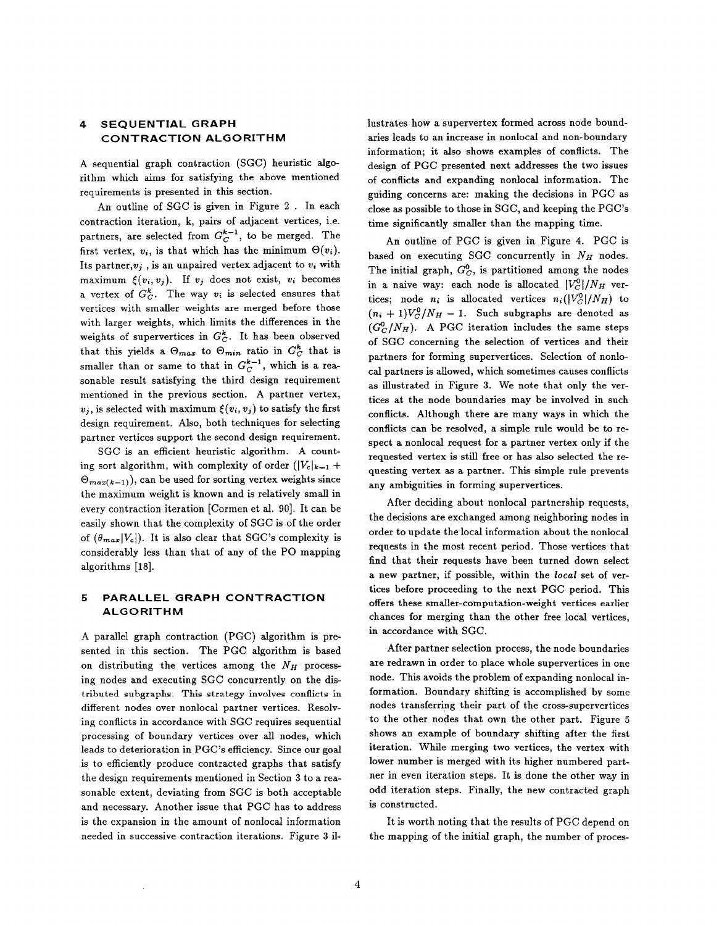# 4 SEQUENTIAL GRAPH CONTRACTION ALGORITHM

A sequential graph contraction (SGC) heuristic algorithm which aims for satisfying the above mentioned requirements is presented in this section.

An outline of SGC is given in Figure 2 . In each contraction iteration, k, pairs of adjacent vertices, i.e. partners, are selected from  $G_C^{k-1}$ , to be merged. The first vertex,  $v_i$ , is that which has the minimum  $\Theta(v_i)$ . Its partner,  $v_i$ , is an unpaired vertex adjacent to  $v_i$  with maximum  $\xi(v_i, v_j)$ . If  $v_j$  does not exist,  $v_i$  becomes a vertex of  $G_C^k$ . The way  $v_i$  is selected ensures that vertices with smaller weights are merged before those with larger weights, which limits the differences in the weights of supervertices in  $G_C^k$ . It has been observed that this yields a  $\Theta_{max}$  to  $\Theta_{min}$  ratio in  $G_C^k$  that is smaller than or same to that in  $G_C^{k-1}$ , which is a reasonable result satisfying the third design requirement mentioned in the previous section. A partner vertex,  $v_i$ , is selected with maximum  $\xi(v_i, v_j)$  to satisfy the first design requirement. Also, both techniques for selecting partner vertices support the second design requirement.

SGC is an efficient heuristic algorithm. A counting sort algorithm, with complexity of order  $(|V_c|_{k-1} +$  $\Theta_{max(k-1)}$ , can be used for sorting vertex weights since the maximum weight is known and is relatively small in every contraction iteration [Cormen et al. 90]. It can be easily shown that the complexity of SGC is of the order of  $(\theta_{max} |V_c|)$ . It is also clear that SGC's complexity is considerably less than that of any of the PO mapping algorithms [18].

### 5 PARALLEL GRAPH CONTRACTION ALGORITHM

A parallel graph contraction (PGC) algorithm is presented in this section. The PGC algorithm is based on distributing the vertices among the  $N_H$  processing nodes and executing SGC concurrently on the distributed subgraphs. This strategy involves conflicts in different nodes over nonlocal partner vertices. Resolving conflicts in accordance with SGC requires sequential processing of boundary vertices over all nodes, which leads to deterioration in PGC'S efficiency. Since our goal is to efficiently produce contracted graphs that satisfy the design requirements mentioned in Section 3 to a reasonable extent, deviating from SGC is both acceptable and necessary. Another issue that PGC has to address is the expansion in the amount of nonlocal information needed in successive contraction iterations. Figure 3 illustrates how a supervertex formed across node boundaries leads to an increase in nonlocal and non-boundary information; it also shows examples of conflicts. The design of PGC presented next addresses the two issues of conflicts and expanding nonlocal information. The guiding concerns are: making the decisions in PGC as close as possible to those in SGC, and keeping the PGC'S time significantly smaller than the mapping time.

An outline of PGC is given in Figure 4. PGC is based on executing SGC concurrently in  $N_H$  nodes. The initial graph,  $G_C^0$ , is partitioned among the nodes in a naive way: each node is allocated  $|V_C^0|/N_H$  vertices; node  $n_i$  is allocated vertices  $n_i (|V_C^0|/N_H)$  to  $(n_i + 1) V_C^0/N_H - 1$ . Such subgraphs are denoted as  $(G_{C}^{0}/N_{H})$ . A PGC iteration includes the same steps of SGC concerning the selection of vertices and their partners for forming supervertices. Selection of nonlocal partners is allowed, which sometimes causes conflicts as illustrated in Figure 3. We note that only the vertices at the node boundaries may be involved in such conflicts. Although there are many ways in which the conflicts can be resolved, a simple rule would be to respect a nonlocal request for a partner vertex only if the requested vertex is still free or has also selected the requesting vertex as a partner. This simple rule prevents any ambiguities in forming supervertices.

After deciding about nonlocal partnership requests, the decisions are exchanged among neighboring nodes in order to update the local information about the nonlocal requests in the most recent period. Those vertices that find that their requests have been turned down select a new partner, if possible, within the local set of vertices before proceeding to the next PGC period. This offers these smaller-computation-weight vertices earlier chances for merging than the other free local vertices, in accordance with SGC.

After partner selection process, the node boundaries are redrawn in order to place whole supervertices in one node. This avoids the problem of expanding nonlocal information. Boundary shifting is accomplished by some nodes transferring their part of the cross-supervertices to the other nodes that own the other part. Figure 5 shows an example of boundary shifting after the first iteration. While merging two vertices, the vertex with lower number is merged with its higher numbered partner in even iteration steps. It is done the other way in odd iteration steps. Finally, the new contracted graph is constructed.

It is worth noting that the results of PGC depend on the mapping of the initial graph, the number of proces-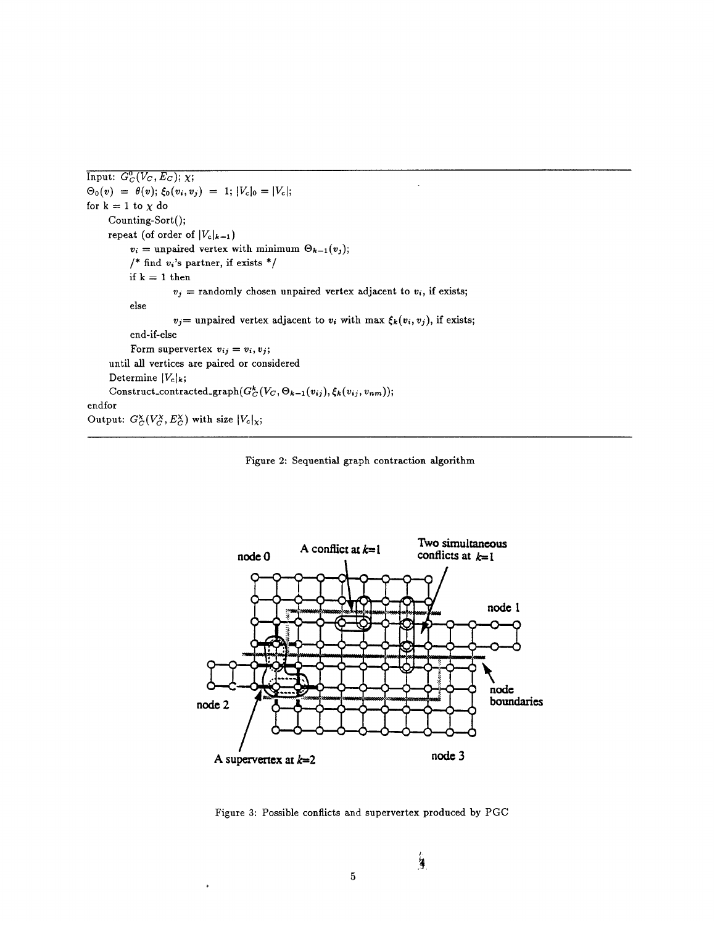```
Input: G_{\mathcal{C}}(V_{\mathcal{C}}, L_{\mathcal{C}}); \lambda;
\mathcal{O}_0(v) = \mathcal{O}(v); \mathcal{O}_0(v_i, v_j) = x; \mathcal{O}_0(v_j) = \mathcal{O}_0(v_j)for k = 1 to \chi do
      Counting-Sort();
      repeat (of order of |V_c|_{k-1})
            v_i = unpaired vertex with minimum \Theta_{k-1} (v_i);/* find v_i's partner, if exists */
            if k = 1 then
                         v_j = randomly chosen unpaired vertex adjacent to v_i, if exists;
            else
                         v_j= unpaired vertex adjacent to v_i with max \xi_k(v_i, v_j), if exists;
            end-if-else
            Form supervertex v_{ij} = v_i, v_j;until all vertices are paired or considered
      Determine |V_c|_k;
Construct_contracted_graph(G^k_C(V_C, \Theta_{k-1}(v_{ij}), \xi_k(v_{ij}, v_{nm}));endfor
ende
\sigmautput: \sigma_C(\sigma, \sigma_C) with size \sigma<sub>(\chi)</sub>
```




Figure 3: Possible conflicts and supervertex produced by PGC

 $\overline{5}$ 

,

 $\frac{1}{2}$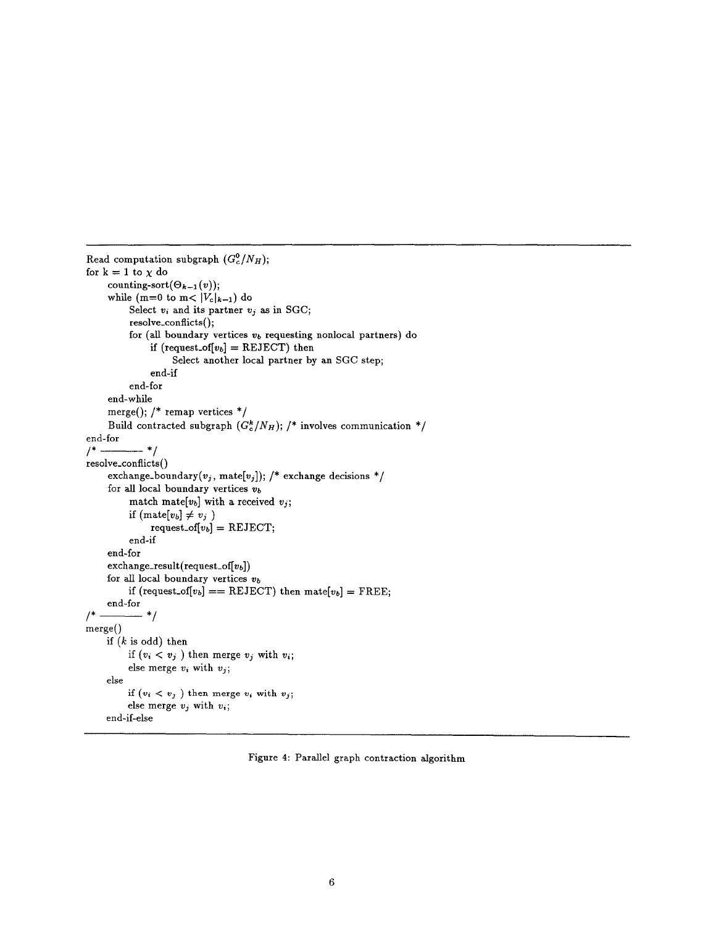```
Read computation subgraph (G_c^0/N_H);
for k=1 to \chi do
    counting-sort(\Theta_{k-1} (v));while (m=0 to m< |V_c|_{k-1}) do
         Select v_i and its partner v_j as in SGC;
         resolve_conflicts();
         for (all boundary vertices v_b requesting nonlocal partners) do
              if (request.of[v_b] = REJECT) then
                   Select another local partner by an SGC step;
              end-if
         end-for
    end- while
    merge(); /* remap vertices */Build contracted subgraph (G_c^k/N_H); /* involves communication */
end-for
/" "1
resolve_conflicts()
    exchange-boundary(v_j, \text{mate}[v_j]); /* exchange decisions */
    for all local boundary vertices v_bmatch mate[v_b] with a received v_j;
         if (\text{mate}[v_b] \neq v_j)request_of[v_b] = REJECT;end-if
    end-for
    \text{exchange\_result}(\text{request\_of}[v_b])for all local boundary vertices v_bif (request_of[v_b] == REJECT) then mate[v_b] = FREE;
    end-for
1^* ———— ^*/merge()if (k \text{ is odd}) then
         if (v_i < v_j) then merge v_j with v_i;
         else merge v_i with v_j;
    else
         if (v_i < v_j) then merge v_i with v_j;
         else merge v_i, with v_i;
    end-if-else
```
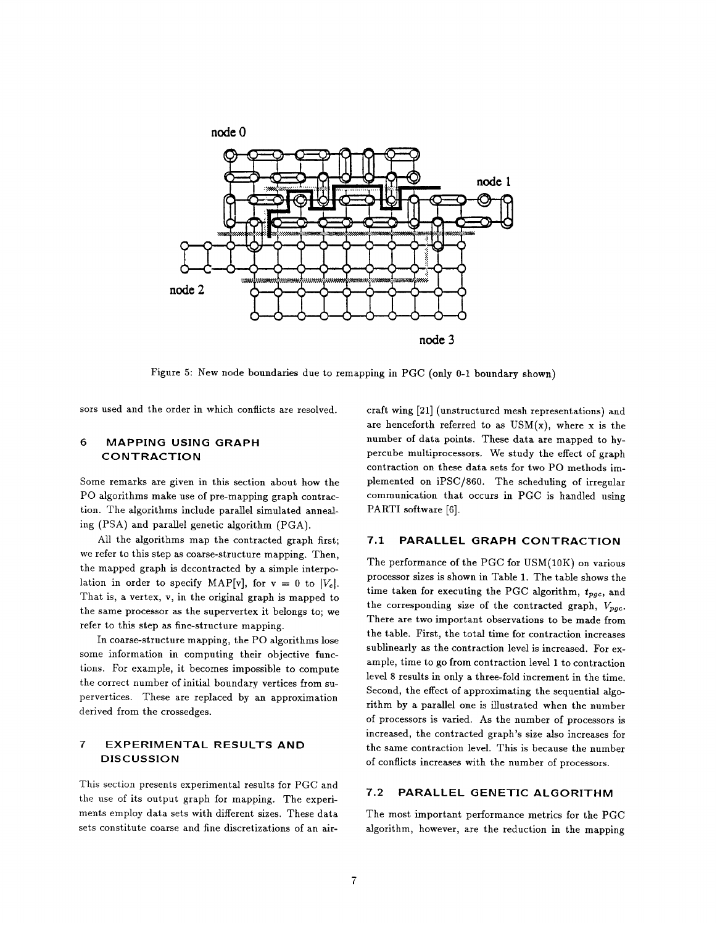

Figure 5: New hode boundaries due to remapping in PGC (only 0-1 boundary show

sors used and the order in which conflicts are resolve

# 6 MAPPING USING GRAPH CONTRACTION

Some remarks are given in this section about how the PO algorithms make use of pre-mapping graph contraction. The algorithms include parallel simulated annealing (PSA) and parallel genetic algorithm (PGA).

All the algorithms map the contracted graph first; we refer to this step as coarse-structure mapping. Then, the mapped graph is decontracted by a simple interpolation in order to specify MAP[v], for  $v = 0$  to |V<sub>c</sub>|. That is, a vertex, v, in the original graph is mapped to the same processor as the supervertex it belongs to; we refer to this step as fine-structure mapping.

In coarse-structure mapping, the PO algorithms lose some information in computing their objective functions. For example, it becomes impossible to compute the correct number of initial boundary vertices from supervertices. These are replaced by an approximation derived from the crossedges.

# 7 EXPERIMENTAL RESULTS AND DISCUSSION

This section presents experimental results for PGC and the use of its output graph for mapping. The experiments employ data sets with different sizes. These data sets constitute coarse and fine discretizations of an aircraft wing [21] (unstructured mesh representations) aud are henceforth referred to as  $USM(x)$ , where x is the number of data points. These data are mapped to hypercube multiprocessors. We study the effect of graph contraction on these data sets for two PO methods implemented on iPSC/860. The scheduling of irregular communication that occurs in PGC is handled using PARTI software [6].

# 7.1 PARALLEL GRAPH CONTRACTION

The performance of the PGC for USM(1OK) on various processor sizes is shown in Table 1. The table shows the time taken for executing the PGC algorithm,  $t_{pqc}$ , and the corresponding size of the contracted graph,  $V_{pgc}$ . There are two important observations to be made from the table. First, the total time for contraction increases sublinearly as the contraction level is increased. For example, time to go from contraction level 1 to contraction level 8 results in only a three-fold increment in the time. Second, the effect of approximating the sequential algorithm by a parallel one is illustrated when the number of processors is varied. As the number of processors is increased, the contracted graph's size also increases for the same contraction level. This is because the number of conflicts increases with the number of processors.

#### 7.2 PARALLEL GENETIC ALGORITHM

The most important performance metrics for the PGC algorithm, however, are the reduction in the mapping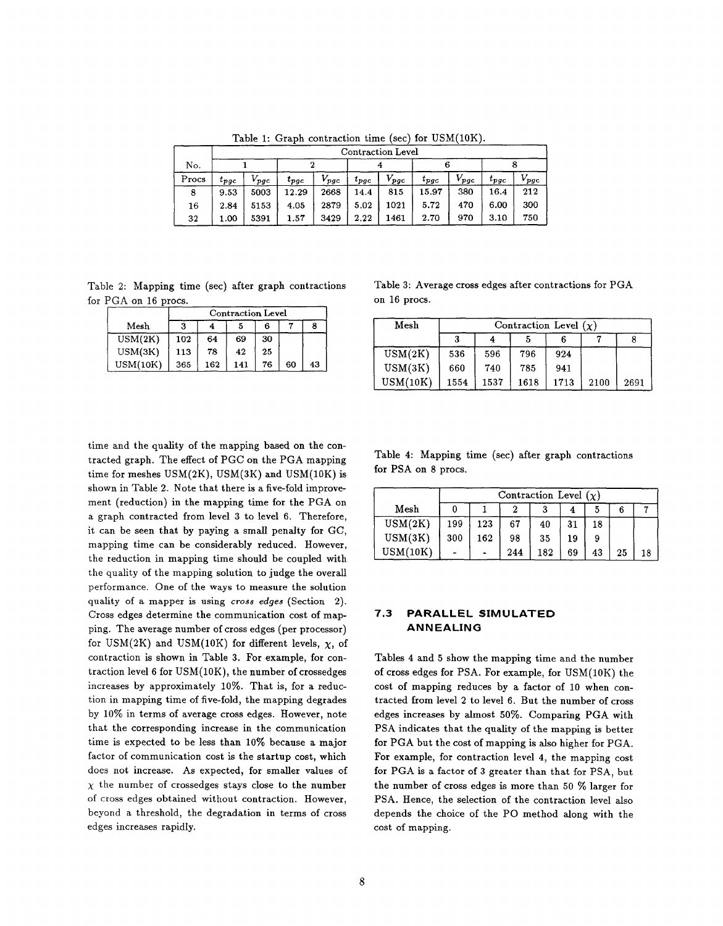|       | <b>Contraction Level</b> |                          |                |           |           |           |                            |           |                       |                         |  |
|-------|--------------------------|--------------------------|----------------|-----------|-----------|-----------|----------------------------|-----------|-----------------------|-------------------------|--|
| No.   |                          |                          |                |           |           |           |                            |           |                       |                         |  |
| Procs | $t_{\bm{p}\bm{g}\bm{c}}$ | $V_{\bm{p}\bm{q}\bm{c}}$ | $t_{\bm{pgc}}$ | $V_{pgc}$ | $t_{pgc}$ | $V_{pgc}$ | $t_{\bm{p} \bm{g} \bm{c}}$ | $V_{pgc}$ | $t_{\bm p\bm g\bm c}$ | $V_{\bm p \bm g \bm c}$ |  |
| 8     | 9.53                     | 5003                     | 12.29          | 2668      | 14.4      | 815       | 15.97                      | 380       | 16.4                  | 212                     |  |
| 16    | 2.84                     | 5153                     | 4.05           | 2879      | 5.02      | 1021      | 5.72                       | 470       | 6.00                  | 300                     |  |
| 32    | 1.00                     | 5391                     | 1.57           | 3429      | 2.22      | 1461      | 2.70                       | 970       | 3.10                  | 750                     |  |

Table 1: Graph contraction time (sec) for  $USM(10K)$ .

Table 2: Mapping time (see) after graph contractions Table 3: Average cross edges after contractions for PGA for PGA on 16 procs.  $\qquad \qquad$  on 16 procs.

|          | <b>Contraction Level</b> |     |     |    |    |    |  |  |
|----------|--------------------------|-----|-----|----|----|----|--|--|
| Mesh     |                          |     |     | 6  |    |    |  |  |
| USM(2K)  | 102                      | 64  | 69  | 30 |    |    |  |  |
| USM(3K)  | 113                      | 78  | 42  | 25 |    |    |  |  |
| USM(10K) | 365                      | 162 | 141 | 76 | 60 | 43 |  |  |

time and the quality of the mapping based on the contracted graph. The effect of PGC on the PGA mapping time for meshes  $\text{USM}(2\text{K})$ ,  $\text{USM}(3\text{K})$  and  $\text{USM}(10\text{K})$  is shown in Table 2. Note that there is a five-fold improvement (reduction) in the mapping time for the PGA on a graph contracted from level 3 to level 6. Therefore, it can be seen that by paying a small penalty for GC, mapping time can be considerably reduced. However, the reduction in mapping time should be coupled with the quality of the mapping solution to judge the overall performance. One of the ways to measure the solution quality of a mapper is using cross edges (Section 2). Cross edges determine the communication cost of mapping. The average number of cross edges (per processor) for USM(2K) and USM(10K) for different levels,  $\chi$ , of contraction is shown in Table 3. For example, for contraction level 6 for USM(1OK), the number of crossedges increases by approximately  $10\%$ . That is, for a reduction in mapping time of five-fold, the mapping degrades by  $10\%$  in terms of average cross edges. However, note that the corresponding increase in the communication time is expected to be less than 10% because a major factor of communication cost is the startup cost, which does not increase. As expected, for smaller values of  $\chi$  the number of crossedges stays close to the number of cross edges obtained without contraction. However, beyond a threshold, the degradation in terms of cross edges increases rapidly.

| Mesh     |     |     | ÷   |    |    |    | Mesh     |      | Contraction Level $(\chi)$ |      |      |      |      |
|----------|-----|-----|-----|----|----|----|----------|------|----------------------------|------|------|------|------|
| USM(2K)  | 102 | 64  | 69  | 30 |    |    |          |      | 4                          |      |      |      |      |
| USM(3K)  | 113 | 78  | 42  | 25 |    |    | USM(2K)  | 536  | 596                        | 796  | 924  |      |      |
| USM(10K) | 365 | 162 | 141 | 76 | 60 | 43 | USM(3K)  | 660  | 740                        | 785  | 941  |      |      |
|          |     |     |     |    |    |    | USM(10K) | 1554 | 1537                       | 1618 | 1713 | 2100 | 2691 |

Table 4: Mapping time (see) after graph contractions for PSA on 8 procs.

|          | Contraction Level $(\chi)$ |     |     |     |    |    |    |    |  |  |
|----------|----------------------------|-----|-----|-----|----|----|----|----|--|--|
| Mesh     |                            |     |     |     |    |    |    |    |  |  |
| USM(2K)  | 199                        | 123 | 67  | 40  | 31 | 18 |    |    |  |  |
| USM(3K)  | 300                        | 162 | 98  | 35  | 19 |    |    |    |  |  |
| USM(10K) |                            |     | 244 | 182 | 69 | 43 | 25 | 18 |  |  |

#### 7.3 PARALLEL SIMULATED ANNEALING

Tables 4 and 5 show the mapping time and the number of cross edges for PSA. For example, for USM(1OK) the cost of mapping reduces by a factor of 10 when contracted from level 2 to level 6. But the number of cross edges increases by almost 50%. Comparing PGA with PSA indicates that the quality of the mapping is better for PGA but the cost of mapping is also higher for PGA. For example, for contraction level 4, the mapping cost for PGA is a factor of 3 greater than that for PSA, but the number of cross edges is more than 50  $%$  larger for PSA. Hence, the selection of the contraction level also depends the choice of the PO method along with the cost of mapping.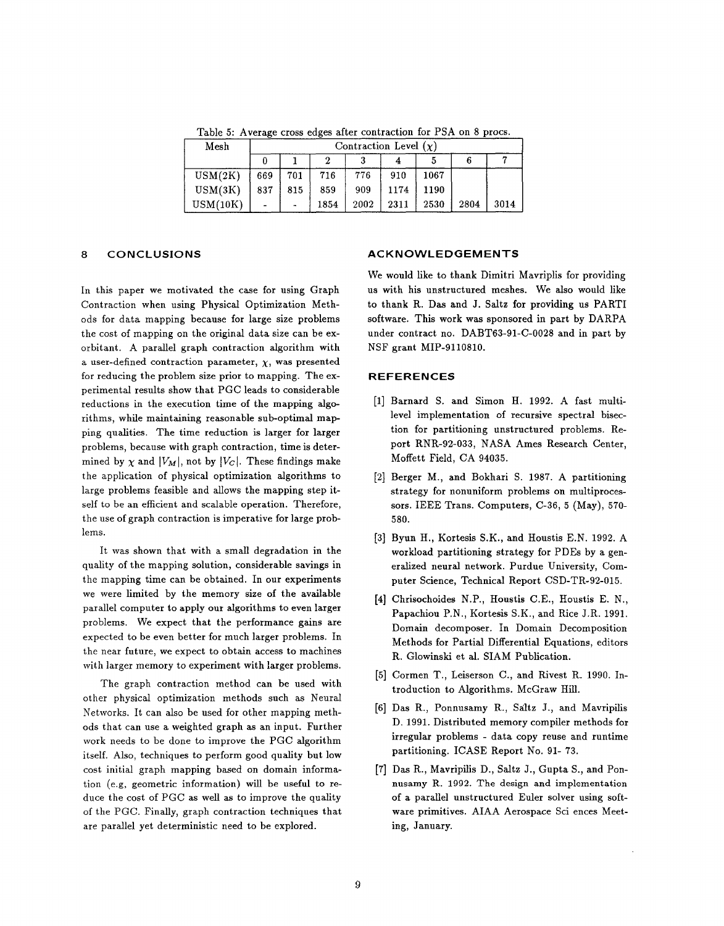Table 5: Average cross edges after contraction for PSA on 8 procs.

| Mesh     | Contraction Level $(\chi)$ |     |      |      |      |      |      |      |  |  |  |
|----------|----------------------------|-----|------|------|------|------|------|------|--|--|--|
|          |                            |     |      |      |      |      |      |      |  |  |  |
| USM(2K)  | 669                        | 701 | 716  | 776  | 910  | 1067 |      |      |  |  |  |
| USM(3K)  | 837                        | 815 | 859  | 909  | 1174 | 1190 |      |      |  |  |  |
| USM(10K) | $\overline{a}$             |     | 1854 | 2002 | 2311 | 2530 | 2804 | 3014 |  |  |  |

## 8 CONCLUSIONS

In this paper we motivated the case for using Graph Contraction when using Physical Optimization Methods for data mapping because for large size problems the cost of mapping on the original data size can be exorbitant. A parallel graph contraction algorithm with a user-defined contraction parameter,  $\chi$ , was presented for reducing the problem size prior to mapping. The experimental results show that PGC leads to considerable reductions in the execution time of the mapping algorithms, while maintaining reasonable sub-optimal mapping qualities. The time reduction is larger for larger problems, because with graph contraction, time is determined by  $\chi$  and  $|V_M|$ , not by  $|V_C|$ . These findings make the application of physical optimization algorithms to large problems feasible and allows the mapping step itself to be an efficient and scalable operation. Therefore, the use of graph contraction is imperative for large problems.

It was shown that with a small degradation in the quality of the mapping solution, considerable savings in the mapping time can be obtained. In our experiments we were limited by the memory size of the available parallel computer to apply our algorithms to even larger problems. We expect that the performance gains are expected to be even better for much larger problems. In the near future, we expect to obtain access to machines with larger memory to experiment with larger problems.

The graph contraction method can be used with other physical optimization methods snch as Neural Networks. It can also be used for other mapping methods that can use a weighted graph as an input. Further work needs to be done to improve the PGC algorithm itself. Also, techniques to perform good quality but low cost initial graph mapping based on domain information (e.g. geometric information) will be useful to reduce the cost of PGC as well ax to improve the quality of the PGC. Finally, graph contraction techniques that are parallel yet deterministic need to be explored.

#### ACKNOWLEDGEMENTS

We would like to thank Dimitri Mavriplis for providing us with his unstructured meshes. We also would like to thank R. Das and J. Saltz for providing us PARTI software. This work was sponsored in part by DARPA under contract no. DABT63-91-C-O028 and in part by NSF grant MIP-911081O.

#### REFERENCES

- [1] Barnard S. and Simon H. 1992. A fast mul level implementation of recursive spectral bisection for partitioning unstructured problems. Report RNR-92-033, NASA Ames Research Center, Moffett Field, CA 94035.
- 2] Berger M., and Bokhari S. 1987. A partitio strategy for nonuniform problems on multiprocessors. IEEE Trans. Computers, C-36, 5 (May), 570- 580.
- [3] Byun H., Kortesis S.K., and Houstis E.N. 1992. A workload partitioning strategy for PDEs by a generalized neural network. Purdue University, Computer Science, Technical Report CSD-TR-92-015.
- [4] Chrisochoides N.P., Houstis C.E., Houstis E.N. Papachiou P.N., Kortesis S.K., and Rice J.R. 1991. Domain decompose. In Domain Decomposition Methods for Partial Differential Equations, editors R. Glowinski et al. SIAM Publication.
- [5] Cormen T., Leiserson C., and Rivest R. 1990. Introduction to Algorithms. McGraw Hill.
- [6] Das R., Ponnusamy R., Saltz J., and Mavrip D. 1991. Distributed memory compiler methods for irregular problems - data copy reuse and runtime partitioning. ICASE Report No. 91-73.
- [7] Das R., Mavripilis D., Saltz J., Gupta S., and Ponnusamy R. 1992. The design and implementation of a parallel unstructured Euler solver using software primitives. AIAA Aerospace Sci ences Meeting, January.